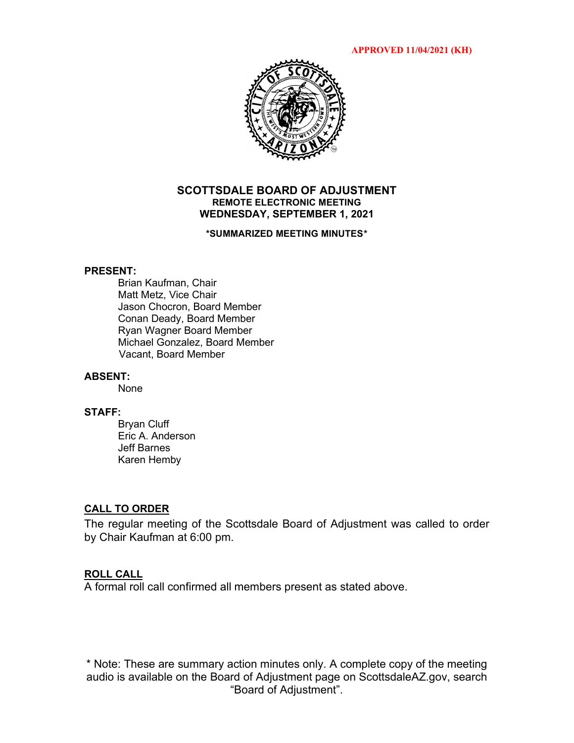**APPROVED 11/04/2021 (KH)**



### **SCOTTSDALE BOARD OF ADJUSTMENT REMOTE ELECTRONIC MEETING WEDNESDAY, SEPTEMBER 1, 2021**

#### **\*SUMMARIZED MEETING MINUTES\***

### **PRESENT:**

Brian Kaufman, Chair Matt Metz, Vice Chair Jason Chocron, Board Member Conan Deady, Board Member Ryan Wagner Board Member Michael Gonzalez, Board Member Vacant, Board Member

### **ABSENT:**

None

#### **STAFF:**

Bryan Cluff Eric A. Anderson Jeff Barnes Karen Hemby

### **CALL TO ORDER**

The regular meeting of the Scottsdale Board of Adjustment was called to order by Chair Kaufman at 6:00 pm.

### **ROLL CALL**

A formal roll call confirmed all members present as stated above.

\* Note: These are summary action minutes only. A complete copy of the meeting audio is available on the Board of Adjustment page on ScottsdaleAZ.gov, search "Board of Adjustment".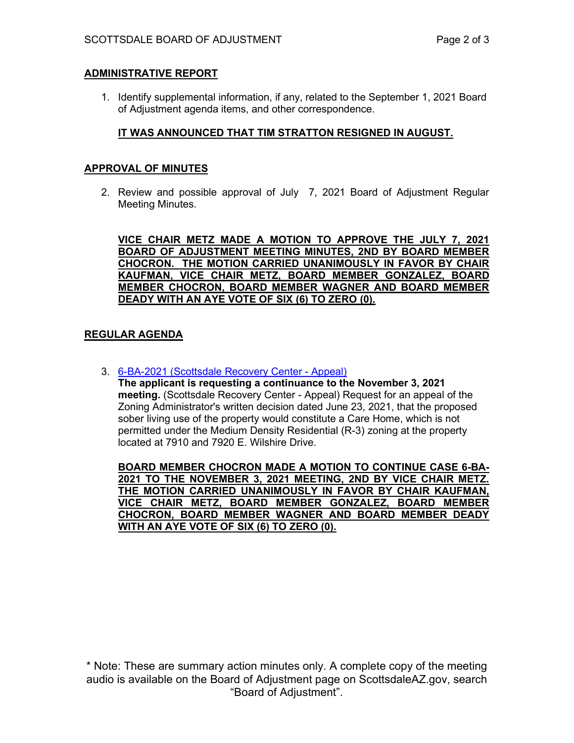# **ADMINISTRATIVE REPORT**

1. Identify supplemental information, if any, related to the September 1, 2021 Board of Adjustment agenda items, and other correspondence.

# **IT WAS ANNOUNCED THAT TIM STRATTON RESIGNED IN AUGUST.**

## **APPROVAL OF MINUTES**

2. Review and possible approval of July 7, 2021 Board of Adjustment Regular Meeting Minutes.

**VICE CHAIR METZ MADE A MOTION TO APPROVE THE JULY 7, 2021 BOARD OF ADJUSTMENT MEETING MINUTES, 2ND BY BOARD MEMBER CHOCRON. THE MOTION CARRIED UNANIMOUSLY IN FAVOR BY CHAIR KAUFMAN, VICE CHAIR METZ, BOARD MEMBER GONZALEZ, BOARD MEMBER CHOCRON, BOARD MEMBER WAGNER AND BOARD MEMBER DEADY WITH AN AYE VOTE OF SIX (6) TO ZERO (0).** 

# **REGULAR AGENDA**

3. [6-BA-2021 \(Scottsdale Recovery Center -](https://eservices.scottsdaleaz.gov/planning/projectsummary/ba_reports/BA_6_BA_2021.pdf) Appeal)

**The applicant is requesting a continuance to the November 3, 2021 meeting.** (Scottsdale Recovery Center - Appeal) Request for an appeal of the Zoning Administrator's written decision dated June 23, 2021, that the proposed sober living use of the property would constitute a Care Home, which is not permitted under the Medium Density Residential (R-3) zoning at the property located at 7910 and 7920 E. Wilshire Drive.

**BOARD MEMBER CHOCRON MADE A MOTION TO CONTINUE CASE 6-BA-2021 TO THE NOVEMBER 3, 2021 MEETING, 2ND BY VICE CHAIR METZ. THE MOTION CARRIED UNANIMOUSLY IN FAVOR BY CHAIR KAUFMAN, VICE CHAIR METZ, BOARD MEMBER GONZALEZ, BOARD MEMBER CHOCRON, BOARD MEMBER WAGNER AND BOARD MEMBER DEADY WITH AN AYE VOTE OF SIX (6) TO ZERO (0).** 

\* Note: These are summary action minutes only. A complete copy of the meeting audio is available on the Board of Adjustment page on ScottsdaleAZ.gov, search "Board of Adjustment".